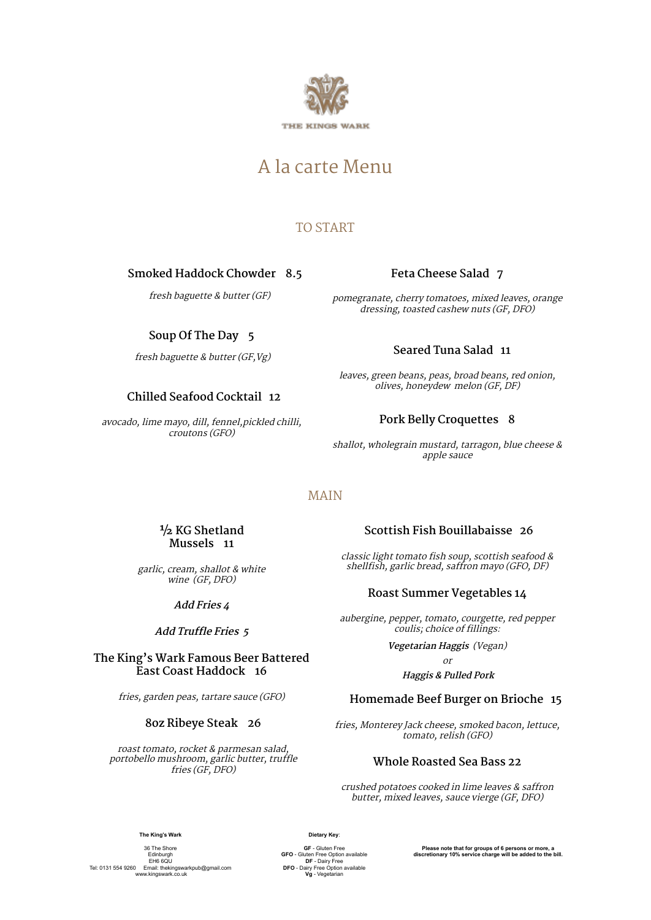

### A la carte Menu

#### TO START

#### **Smoked Haddock Chowder 8.5**

fresh baguette & butter (GF)

**Soup Of The Day 5**

fresh baguette & butter (GF,Vg)

#### **Chilled Seafood Cocktail 12**

avocado, lime mayo, dill, fennel,pickled chilli, croutons (GFO)

#### **Feta Cheese Salad 7**

pomegranate, cherry tomatoes, mixed leaves, orange dressing, toasted cashew nuts (GF, DFO)

#### **Seared Tuna Salad 11**

leaves, green beans, peas, broad beans, red onion, olives, honeydew melon (GF, DF)

#### **Pork Belly Croquettes 8**

shallot, wholegrain mustard, tarragon, blue cheese & apple sauce

#### MAIN

#### **½ KG Shetland Mussels 11**

garlic, cream, shallot & white wine (GF, DFO)

#### **Add Fries 4**

#### **Add Truffle Fries 5**

#### **The King's Wark Famous Beer Battered East Coast Haddock 16**

fries, garden peas, tartare sauce (GFO)

#### **8oz Ribeye Steak 26**

roast tomato, rocket & parmesan salad, portobello mushroom, garlic butter, truffle fries (GF, DFO)

#### **Scottish Fish Bouillabaisse 26**

classic light tomato fish soup, scottish seafood & shellfish, garlic bread, saffron mayo (GFO, DF)

#### **Roast Summer Vegetables 14**

aubergine, pepper, tomato, courgette, red pepper coulis; choice of fillings:

**Vegetarian Haggis** (Vegan)

or

#### **Haggis & Pulled Pork**

#### **Homemade Beef Burger on Brioche 15**

fries, Monterey Jack cheese, smoked bacon, lettuce, tomato, relish (GFO)

#### **Whole Roasted Sea Bass 22**

crushed potatoes cooked in lime leaves & saffron butter, mixed leaves, sauce vierge (GF, DFO)

**The King's Wark**

36 The Shore Edinburgh EH6 6QU Tel: 0131 554 9260 Email: thekingswarkpub@gmail.com www.kingswark.co.uk

**Dietary Key**:

**GF** - Gluten Free **GFO** - Gluten Free Option available **DF** - Dairy Free **DFO** - Dairy Free Option available **Vg** - Vegetarian Please note that for groups of 6 persons or more, a<br>discretionary 10% service charge will be added to the bill.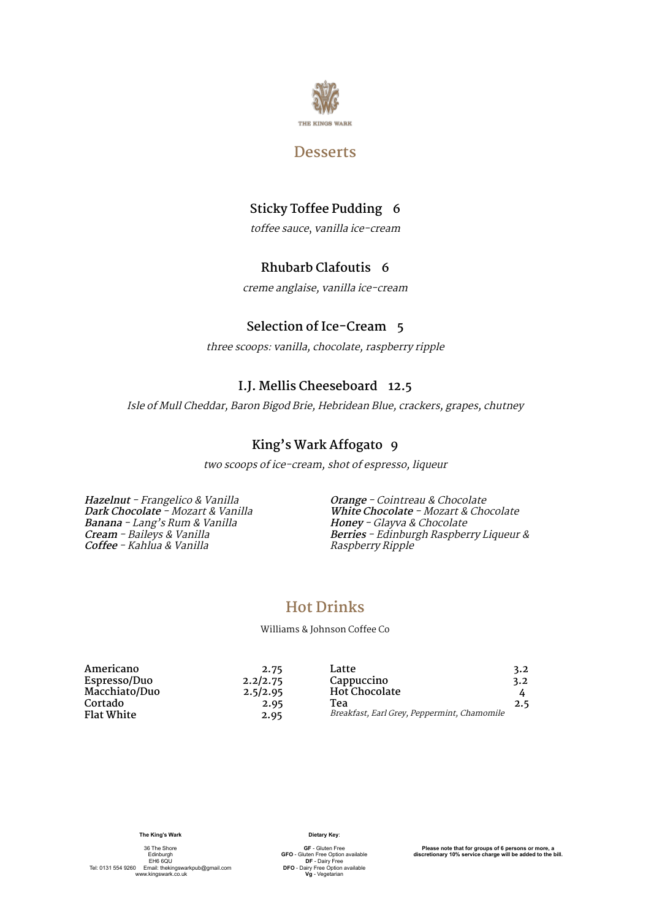

#### **Desserts**

#### **Sticky Toffee Pudding 6**

toffee sauce, vanilla ice-cream

#### **Rhubarb Clafoutis 6**

creme anglaise, vanilla ice-cream

#### **Selection of Ice-Cream 5**

three scoops: vanilla, chocolate, raspberry ripple

#### **I.J. Mellis Cheeseboard 12.5**

Isle of Mull Cheddar, Baron Bigod Brie, Hebridean Blue, crackers, grapes, chutney

#### **King's Wark Affogato 9**

two scoops of ice-cream, shot of espresso, liqueur

**Hazelnut** - Frangelico & Vanilla **Dark Chocolate** - Mozart & Vanilla **Banana** - Lang's Rum & Vanilla **Cream** - Baileys & Vanilla **Coffee** - Kahlua & Vanilla

**Orange** - Cointreau & Chocolate **White Chocolate** - Mozart & Chocolate **Honey** - Glayva & Chocolate **Berries** - Edinburgh Raspberry Liqueur & Raspberry Ripple

#### **Hot Drinks**

Williams & Johnson Coffee Co

| Americano<br>Espresso/Duo<br>Macchiato/Duo<br>Cortado | 2.75<br>2.2/2.75<br>2.5/2.95<br>2.95 | Latte<br>Cappuccino<br><b>Hot Chocolate</b><br>Теа | 3.2<br>3.2<br>2.5 |
|-------------------------------------------------------|--------------------------------------|----------------------------------------------------|-------------------|
| <b>Flat White</b>                                     | 2.95                                 | Breakfast, Earl Grey, Peppermint, Chamomile        |                   |

**The King's Wark**

36 The Shore Edinburgh<br>EH6 6QU<br>Tel: 0131 554 9260 Email: thekingswarkpub@gmail.com<br>www.kingswark.co.uk **Dietary Key**:

**GF** - Gluten Free **GFO** - Gluten Free Option available **DF** - Dairy Free **DFO** - Dairy Free Option available **Vg** - Vegetarian

Please note that for groups of 6 persons or more, a<br>discretionary 10% service charge will be added to the bill.